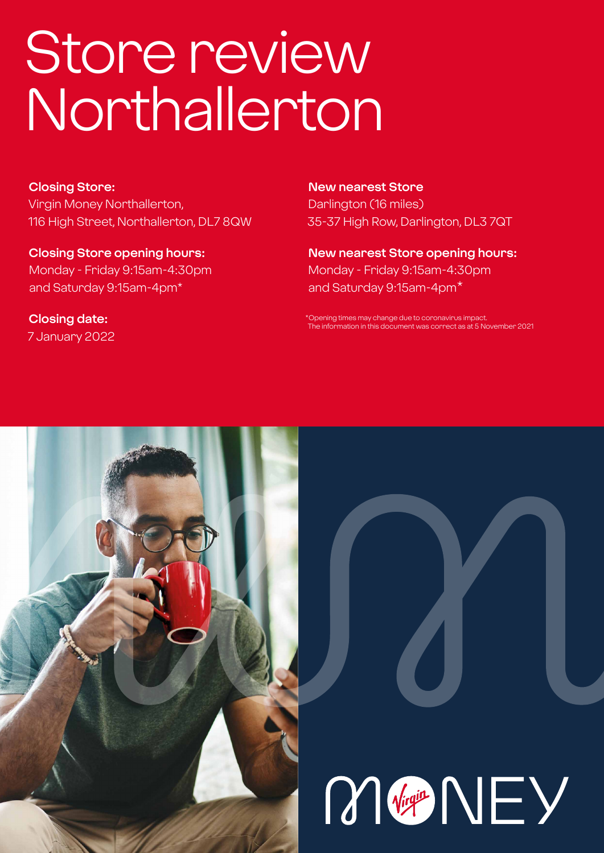# Store review Northallerton

#### **Closing Store:**

Virgin Money Northallerton, 116 High Street, Northallerton, DL7 8QW

**Closing Store opening hours:**  Monday - Friday 9:15am-4:30pm and Saturday 9:15am-4pm\*

**Closing date:**  7 January 2022

#### **New nearest Store**

Darlington (16 miles) 35-37 High Row, Darlington, DL3 7QT

**New nearest Store opening hours:** Monday - Friday 9:15am-4:30pm and Saturday 9:15am-4pm\*

\*Opening times may change due to coronavirus impact. The information in this document was correct as at 5 November 2021



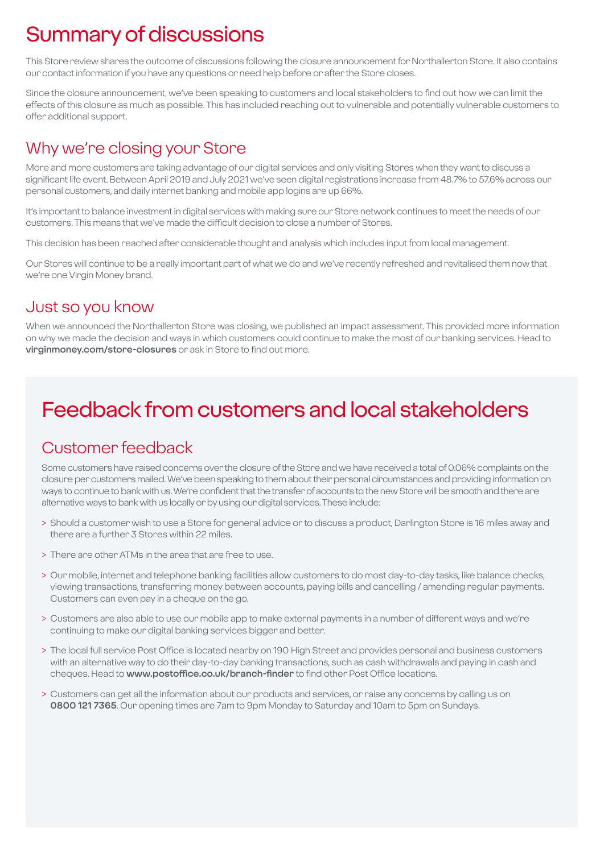# Summary of discussions

This Store review shares the outcome of discussions following the closure announcement for Northallerton Store. It also contains our contact information if you have any questions or need help before or after the Store closes.

Since the closure announcement, we've been speaking to customers and local stakeholders to find out how we can limit the effects of this closure as much as possible. This has included reaching out to vulnerable and potentially vulnerable customers to offer additional support.

### Why we're closing your Store

More and more customers are taking advantage of our digital services and only visiting Stores when they want to discuss a significant life event. Between April 2019 and July 2021 we've seen digital registrations increase from 48.7% to 57.6% across our personal customers, and daily internet banking and mobile app logins are up 66%.

It's important to balance investment in digital services with making sure our Store network continues to meet the needs of our customers. This means that we've made the difficult decision to close a number of Stores.

This decision has been reached after considerable thought and analysis which includes input from local management.

Our Stores will continue to be a really important part of what we do and we've recently refreshed and revitalised them now that we're one Virgin Money brand.

### Just so you know

When we announced the Northallerton Store was closing, we published an impact assessment. This provided more information on why we made the decision and ways in which customers could continue to make the most of our banking services. Head to **virginmoney.com/store-closures** or ask in Store to find out more.

# Feedback from customers and local stakeholders

### Customer feedback

Some customers have raised concerns over the closure of the Store and we have received a total of 0.06% complaints on the closure per customers mailed. We've been speaking to them about their personal circumstances and providing information on ways to continue to bank with us. We're confident that the transfer of accounts to the new Store will be smooth and there are alternative ways to bank with us locally or by using our digital services. These include:

- > Should a customer wish to use a Store for general advice or to discuss a product, Darlington Store is 16 miles away and there are a further 3 Stores within 22 miles.
- > There are other ATMs in the area that are free to use.
- > Our mobile, internet and telephone banking facilities allow customers to do most day-to-day tasks, like balance checks, viewing transactions, transferring money between accounts, paying bills and cancelling / amending regular payments. Customers can even pay in a cheque on the go.
- > Customers are also able to use our mobile app to make external payments in a number of different ways and we're continuing to make our digital banking services bigger and better.
- > The local full service Post Office is located nearby on 190 High Street and provides personal and business customers with an alternative way to do their day-to-day banking transactions, such as cash withdrawals and paying in cash and cheques. Head to **www.postoffice.co.uk/branch-finder** to find other Post Office locations.
- > Customers can get all the information about our products and services, or raise any concerns by calling us on **0800 121 7365**. Our opening times are 7am to 9pm Monday to Saturday and 10am to 5pm on Sundays.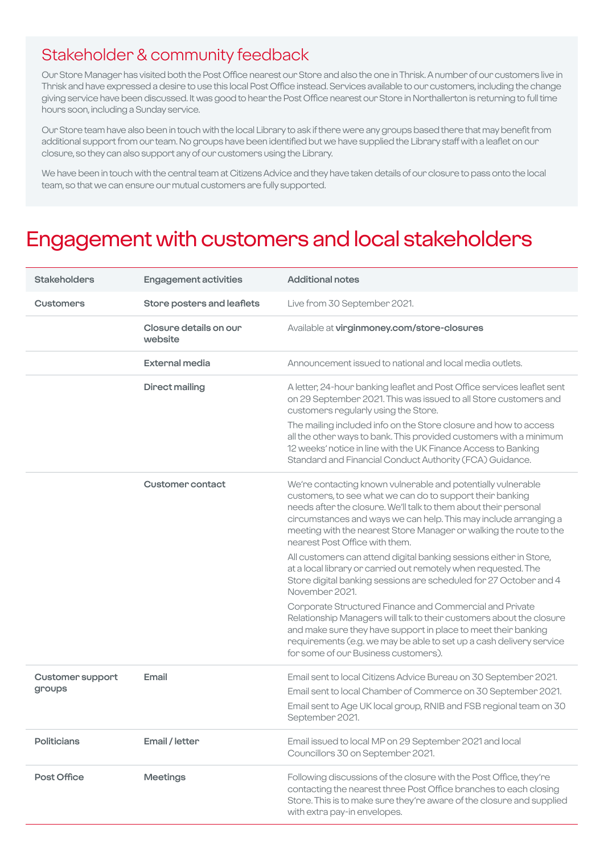### Stakeholder & community feedback

Our Store Manager has visited both the Post Office nearest our Store and also the one in Thrisk. A number of our customers live in Thrisk and have expressed a desire to use this local Post Office instead. Services available to our customers, including the change giving service have been discussed. It was good to hear the Post Office nearest our Store in Northallerton is returning to full time hours soon, including a Sunday service.

Our Store team have also been in touch with the local Library to ask if there were any groups based there that may benefit from additional support from our team. No groups have been identified but we have supplied the Library staff with a leaflet on our closure, so they can also support any of our customers using the Library.

We have been in touch with the central team at Citizens Advice and they have taken details of our closure to pass onto the local team, so that we can ensure our mutual customers are fully supported.

### Engagement with customers and local stakeholders

| <b>Stakeholders</b>               | <b>Engagement activities</b>      | <b>Additional notes</b>                                                                                                                                                                                                                                                                                                                                                   |
|-----------------------------------|-----------------------------------|---------------------------------------------------------------------------------------------------------------------------------------------------------------------------------------------------------------------------------------------------------------------------------------------------------------------------------------------------------------------------|
| <b>Customers</b>                  | Store posters and leaflets        | Live from 30 September 2021.                                                                                                                                                                                                                                                                                                                                              |
|                                   | Closure details on our<br>website | Available at virginmoney.com/store-closures                                                                                                                                                                                                                                                                                                                               |
|                                   | <b>External media</b>             | Announcement issued to national and local media outlets.                                                                                                                                                                                                                                                                                                                  |
|                                   | <b>Direct mailing</b>             | A letter, 24-hour banking leaflet and Post Office services leaflet sent<br>on 29 September 2021. This was issued to all Store customers and<br>customers regularly using the Store.                                                                                                                                                                                       |
|                                   |                                   | The mailing included info on the Store closure and how to access<br>all the other ways to bank. This provided customers with a minimum<br>12 weeks' notice in line with the UK Finance Access to Banking<br>Standard and Financial Conduct Authority (FCA) Guidance.                                                                                                      |
|                                   | <b>Customer contact</b>           | We're contacting known vulnerable and potentially vulnerable<br>customers, to see what we can do to support their banking<br>needs after the closure. We'll talk to them about their personal<br>circumstances and ways we can help. This may include arranging a<br>meeting with the nearest Store Manager or walking the route to the<br>nearest Post Office with them. |
|                                   |                                   | All customers can attend digital banking sessions either in Store,<br>at a local library or carried out remotely when requested. The<br>Store digital banking sessions are scheduled for 27 October and 4<br>November 2021.                                                                                                                                               |
|                                   |                                   | Corporate Structured Finance and Commercial and Private<br>Relationship Managers will talk to their customers about the closure<br>and make sure they have support in place to meet their banking<br>requirements (e.g. we may be able to set up a cash delivery service<br>for some of our Business customers).                                                          |
| <b>Customer support</b><br>groups | Email                             | Email sent to local Citizens Advice Bureau on 30 September 2021.<br>Email sent to local Chamber of Commerce on 30 September 2021.<br>Email sent to Age UK local group, RNIB and FSB regional team on 30<br>September 2021.                                                                                                                                                |
| <b>Politicians</b>                | Email / letter                    | Email issued to local MP on 29 September 2021 and local<br>Councillors 30 on September 2021.                                                                                                                                                                                                                                                                              |
| Post Office                       | <b>Meetings</b>                   | Following discussions of the closure with the Post Office, they're<br>contacting the nearest three Post Office branches to each closing<br>Store. This is to make sure they're aware of the closure and supplied<br>with extra pay-in envelopes.                                                                                                                          |